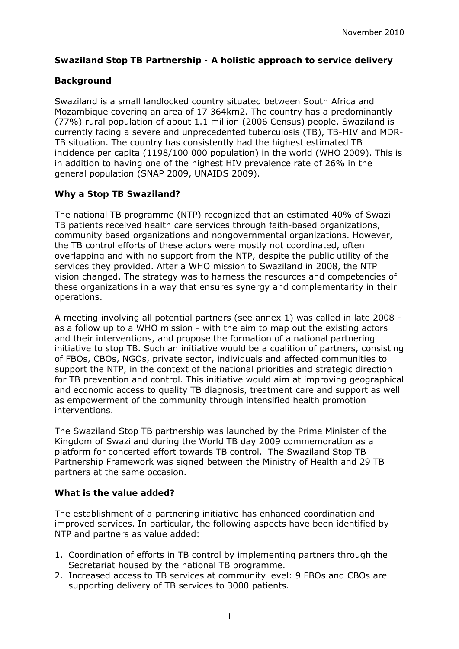## **Swaziland Stop TB Partnership - A holistic approach to service delivery**

## **Background**

Swaziland is a small landlocked country situated between South Africa and Mozambique covering an area of 17 364km2. The country has a predominantly (77%) rural population of about 1.1 million (2006 Census) people. Swaziland is currently facing a severe and unprecedented tuberculosis (TB), TB-HIV and MDR-TB situation. The country has consistently had the highest estimated TB incidence per capita (1198/100 000 population) in the world (WHO 2009). This is in addition to having one of the highest HIV prevalence rate of 26% in the general population (SNAP 2009, UNAIDS 2009).

## **Why a Stop TB Swaziland?**

The national TB programme (NTP) recognized that an estimated 40% of Swazi TB patients received health care services through faith-based organizations, community based organizations and nongovernmental organizations. However, the TB control efforts of these actors were mostly not coordinated, often overlapping and with no support from the NTP, despite the public utility of the services they provided. After a WHO mission to Swaziland in 2008, the NTP vision changed. The strategy was to harness the resources and competencies of these organizations in a way that ensures synergy and complementarity in their operations.

A meeting involving all potential partners (see annex 1) was called in late 2008 as a follow up to a WHO mission - with the aim to map out the existing actors and their interventions, and propose the formation of a national partnering initiative to stop TB. Such an initiative would be a coalition of partners, consisting of FBOs, CBOs, NGOs, private sector, individuals and affected communities to support the NTP, in the context of the national priorities and strategic direction for TB prevention and control. This initiative would aim at improving geographical and economic access to quality TB diagnosis, treatment care and support as well as empowerment of the community through intensified health promotion interventions.

The Swaziland Stop TB partnership was launched by the Prime Minister of the Kingdom of Swaziland during the World TB day 2009 commemoration as a platform for concerted effort towards TB control. The Swaziland Stop TB Partnership Framework was signed between the Ministry of Health and 29 TB partners at the same occasion.

#### **What is the value added?**

The establishment of a partnering initiative has enhanced coordination and improved services. In particular, the following aspects have been identified by NTP and partners as value added:

- 1. Coordination of efforts in TB control by implementing partners through the Secretariat housed by the national TB programme.
- 2. Increased access to TB services at community level: 9 FBOs and CBOs are supporting delivery of TB services to 3000 patients.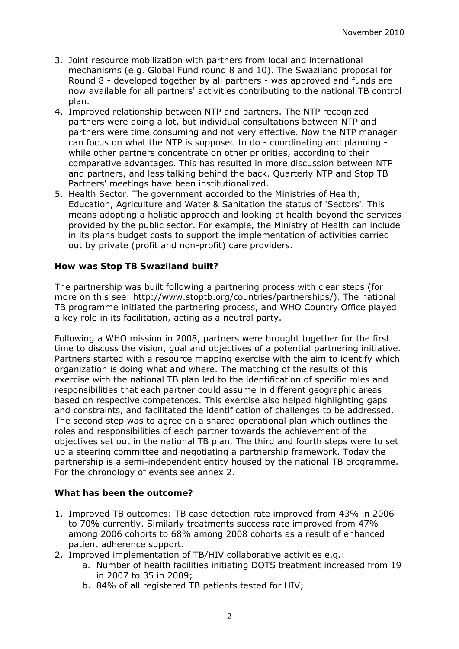- 3. Joint resource mobilization with partners from local and international mechanisms (e.g. Global Fund round 8 and 10). The Swaziland proposal for Round 8 - developed together by all partners - was approved and funds are now available for all partners' activities contributing to the national TB control plan.
- 4. Improved relationship between NTP and partners. The NTP recognized partners were doing a lot, but individual consultations between NTP and partners were time consuming and not very effective. Now the NTP manager can focus on what the NTP is supposed to do - coordinating and planning while other partners concentrate on other priorities, according to their comparative advantages. This has resulted in more discussion between NTP and partners, and less talking behind the back. Quarterly NTP and Stop TB Partners' meetings have been institutionalized.
- 5. Health Sector. The government accorded to the Ministries of Health, Education, Agriculture and Water & Sanitation the status of 'Sectors'. This means adopting a holistic approach and looking at health beyond the services provided by the public sector. For example, the Ministry of Health can include in its plans budget costs to support the implementation of activities carried out by private (profit and non-profit) care providers.

# **How was Stop TB Swaziland built?**

The partnership was built following a partnering process with clear steps (for more on this see: http://www.stoptb.org/countries/partnerships/). The national TB programme initiated the partnering process, and WHO Country Office played a key role in its facilitation, acting as a neutral party.

Following a WHO mission in 2008, partners were brought together for the first time to discuss the vision, goal and objectives of a potential partnering initiative. Partners started with a resource mapping exercise with the aim to identify which organization is doing what and where. The matching of the results of this exercise with the national TB plan led to the identification of specific roles and responsibilities that each partner could assume in different geographic areas based on respective competences. This exercise also helped highlighting gaps and constraints, and facilitated the identification of challenges to be addressed. The second step was to agree on a shared operational plan which outlines the roles and responsibilities of each partner towards the achievement of the objectives set out in the national TB plan. The third and fourth steps were to set up a steering committee and negotiating a partnership framework. Today the partnership is a semi-independent entity housed by the national TB programme. For the chronology of events see annex 2.

## **What has been the outcome?**

- 1. Improved TB outcomes: TB case detection rate improved from 43% in 2006 to 70% currently. Similarly treatments success rate improved from 47% among 2006 cohorts to 68% among 2008 cohorts as a result of enhanced patient adherence support.
- 2. Improved implementation of TB/HIV collaborative activities e.g.:
	- a. Number of health facilities initiating DOTS treatment increased from 19 in 2007 to 35 in 2009;
	- b. 84% of all registered TB patients tested for HIV;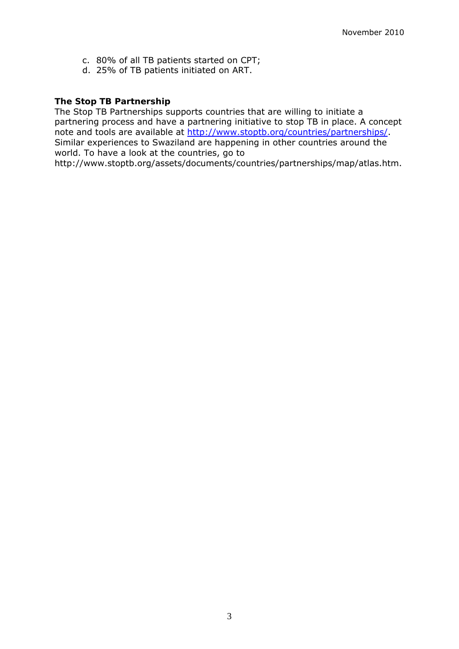- c. 80% of all TB patients started on CPT;
- d. 25% of TB patients initiated on ART.

#### **The Stop TB Partnership**

The Stop TB Partnerships supports countries that are willing to initiate a partnering process and have a partnering initiative to stop TB in place. A concept note and tools are available at<http://www.stoptb.org/countries/partnerships/>. Similar experiences to Swaziland are happening in other countries around the world. To have a look at the countries, go to

http://www.stoptb.org/assets/documents/countries/partnerships/map/atlas.htm.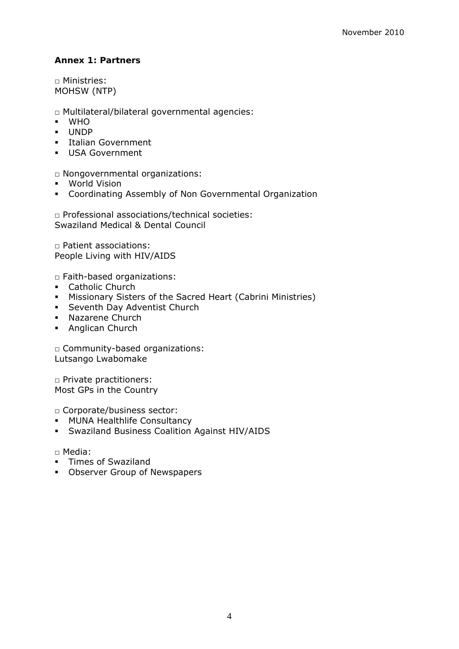# **Annex 1: Partners**

□ Ministries: MOHSW (NTP)

□ Multilateral/bilateral governmental agencies:

- **WHO**
- UNDP
- **Italian Government**
- USA Government

□ Nongovernmental organizations:

- World Vision
- Coordinating Assembly of Non Governmental Organization

□ Professional associations/technical societies: Swaziland Medical & Dental Council

□ Patient associations: People Living with HIV/AIDS

□ Faith-based organizations:

- **Catholic Church**
- Missionary Sisters of the Sacred Heart (Cabrini Ministries)
- **Seventh Day Adventist Church**
- **Nazarene Church**
- **Anglican Church**

□ Community-based organizations: Lutsango Lwabomake

□ Private practitioners: Most GPs in the Country

□ Corporate/business sector:

- **MUNA Healthlife Consultancy**
- Swaziland Business Coalition Against HIV/AIDS

#### □ Media:

- **Times of Swaziland**
- **Observer Group of Newspapers**